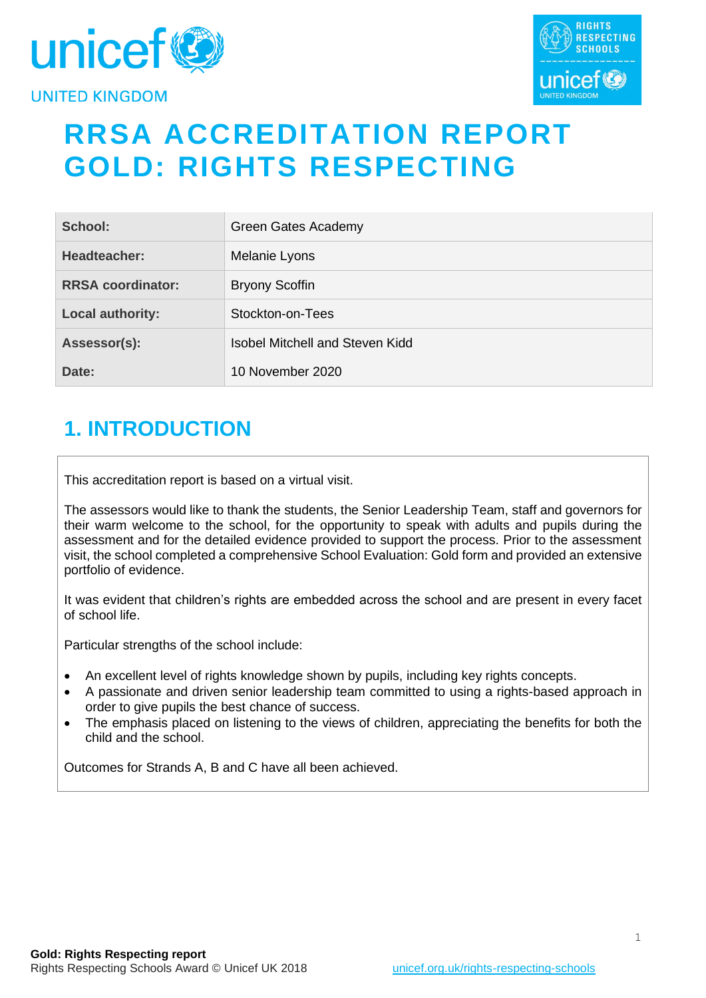



# **RRSA ACCREDITATION REPORT GOLD: RIGHTS RESPECTING**

| School:                  | Green Gates Academy             |
|--------------------------|---------------------------------|
| Headteacher:             | Melanie Lyons                   |
| <b>RRSA coordinator:</b> | <b>Bryony Scoffin</b>           |
| <b>Local authority:</b>  | Stockton-on-Tees                |
| Assessor(s):             | Isobel Mitchell and Steven Kidd |
| Date:                    | 10 November 2020                |

# **1. INTRODUCTION**

This accreditation report is based on a virtual visit.

The assessors would like to thank the students, the Senior Leadership Team, staff and governors for their warm welcome to the school, for the opportunity to speak with adults and pupils during the assessment and for the detailed evidence provided to support the process. Prior to the assessment visit, the school completed a comprehensive School Evaluation: Gold form and provided an extensive portfolio of evidence.

It was evident that children's rights are embedded across the school and are present in every facet of school life.

Particular strengths of the school include:

- An excellent level of rights knowledge shown by pupils, including key rights concepts.
- A passionate and driven senior leadership team committed to using a rights-based approach in order to give pupils the best chance of success.
- The emphasis placed on listening to the views of children, appreciating the benefits for both the child and the school.

Outcomes for Strands A, B and C have all been achieved.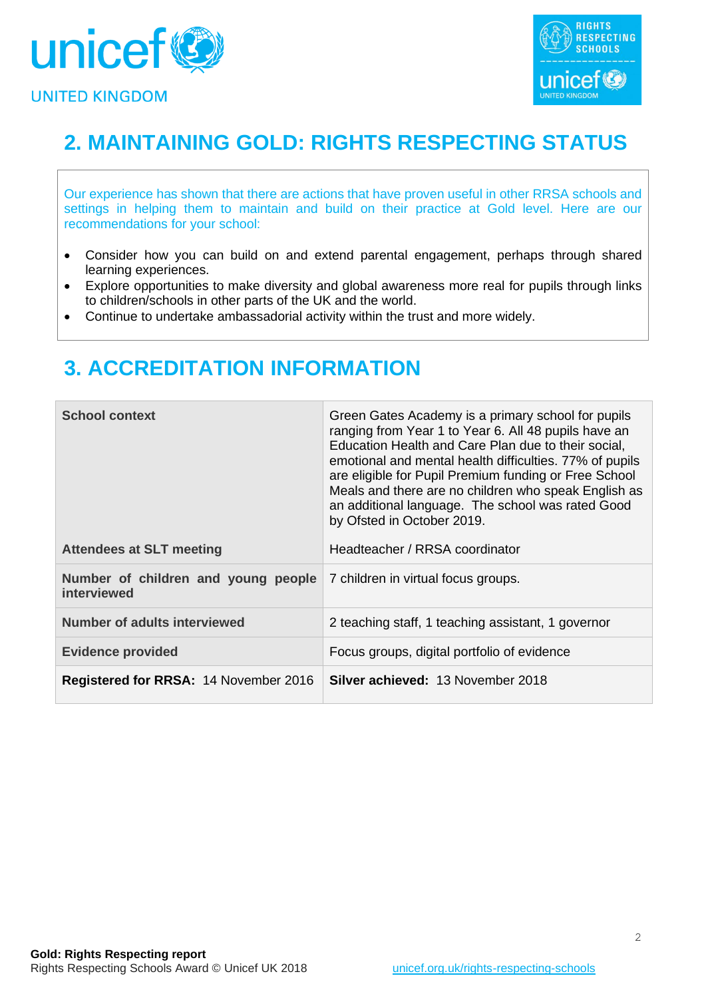



# **2. MAINTAINING GOLD: RIGHTS RESPECTING STATUS**

Our experience has shown that there are actions that have proven useful in other RRSA schools and settings in helping them to maintain and build on their practice at Gold level. Here are our recommendations for your school:

- Consider how you can build on and extend parental engagement, perhaps through shared learning experiences.
- Explore opportunities to make diversity and global awareness more real for pupils through links to children/schools in other parts of the UK and the world.
- Continue to undertake ambassadorial activity within the trust and more widely.

# **3. ACCREDITATION INFORMATION**

| <b>School context</b>                              | Green Gates Academy is a primary school for pupils<br>ranging from Year 1 to Year 6. All 48 pupils have an<br>Education Health and Care Plan due to their social,<br>emotional and mental health difficulties. 77% of pupils<br>are eligible for Pupil Premium funding or Free School<br>Meals and there are no children who speak English as<br>an additional language. The school was rated Good<br>by Ofsted in October 2019. |
|----------------------------------------------------|----------------------------------------------------------------------------------------------------------------------------------------------------------------------------------------------------------------------------------------------------------------------------------------------------------------------------------------------------------------------------------------------------------------------------------|
| <b>Attendees at SLT meeting</b>                    | Headteacher / RRSA coordinator                                                                                                                                                                                                                                                                                                                                                                                                   |
| Number of children and young people<br>interviewed | 7 children in virtual focus groups.                                                                                                                                                                                                                                                                                                                                                                                              |
| <b>Number of adults interviewed</b>                | 2 teaching staff, 1 teaching assistant, 1 governor                                                                                                                                                                                                                                                                                                                                                                               |
| <b>Evidence provided</b>                           | Focus groups, digital portfolio of evidence                                                                                                                                                                                                                                                                                                                                                                                      |
| <b>Registered for RRSA: 14 November 2016</b>       | <b>Silver achieved: 13 November 2018</b>                                                                                                                                                                                                                                                                                                                                                                                         |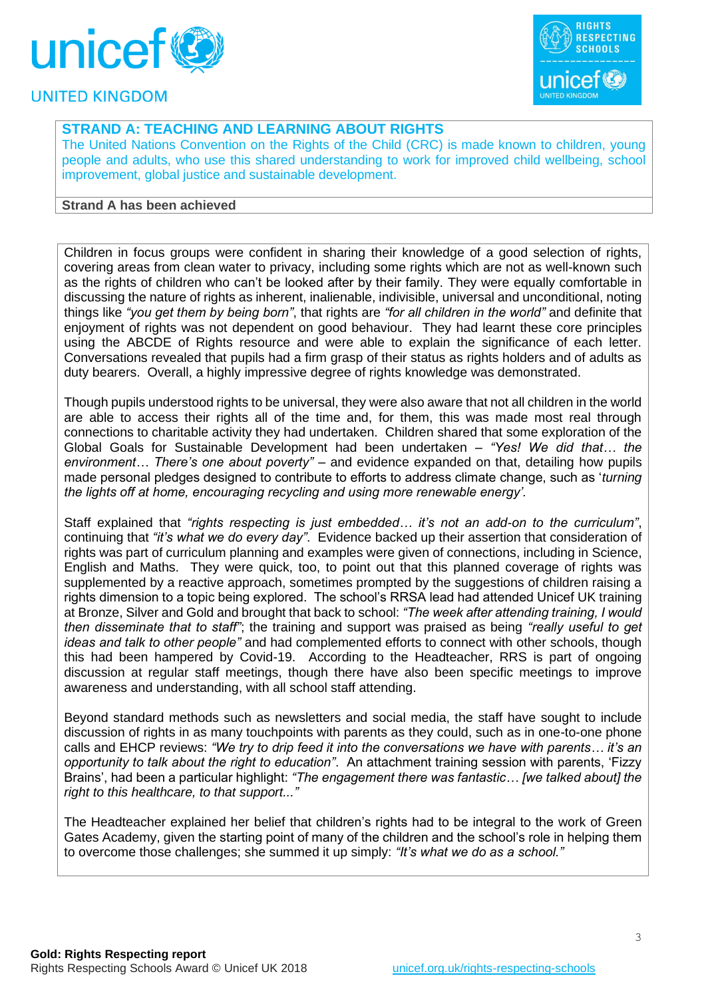



## **STRAND A: TEACHING AND LEARNING ABOUT RIGHTS**

The United Nations Convention on the Rights of the Child (CRC) is made known to children, young people and adults, who use this shared understanding to work for improved child wellbeing, school improvement, global justice and sustainable development.

#### **Strand A has been achieved**

Children in focus groups were confident in sharing their knowledge of a good selection of rights, covering areas from clean water to privacy, including some rights which are not as well-known such as the rights of children who can't be looked after by their family. They were equally comfortable in discussing the nature of rights as inherent, inalienable, indivisible, universal and unconditional, noting things like *"you get them by being born"*, that rights are *"for all children in the world"* and definite that enjoyment of rights was not dependent on good behaviour. They had learnt these core principles using the ABCDE of Rights resource and were able to explain the significance of each letter. Conversations revealed that pupils had a firm grasp of their status as rights holders and of adults as duty bearers. Overall, a highly impressive degree of rights knowledge was demonstrated.

Though pupils understood rights to be universal, they were also aware that not all children in the world are able to access their rights all of the time and, for them, this was made most real through connections to charitable activity they had undertaken. Children shared that some exploration of the Global Goals for Sustainable Development had been undertaken – *"Yes! We did that… the environment… There's one about poverty"* – and evidence expanded on that, detailing how pupils made personal pledges designed to contribute to efforts to address climate change, such as '*turning the lights off at home, encouraging recycling and using more renewable energy'.*

Staff explained that *"rights respecting is just embedded… it's not an add-on to the curriculum"*, continuing that *"it's what we do every day"*. Evidence backed up their assertion that consideration of rights was part of curriculum planning and examples were given of connections, including in Science, English and Maths. They were quick, too, to point out that this planned coverage of rights was supplemented by a reactive approach, sometimes prompted by the suggestions of children raising a rights dimension to a topic being explored. The school's RRSA lead had attended Unicef UK training at Bronze, Silver and Gold and brought that back to school: *"The week after attending training, I would then disseminate that to staff"*; the training and support was praised as being *"really useful to get ideas and talk to other people"* and had complemented efforts to connect with other schools, though this had been hampered by Covid-19. According to the Headteacher, RRS is part of ongoing discussion at regular staff meetings, though there have also been specific meetings to improve awareness and understanding, with all school staff attending.

Beyond standard methods such as newsletters and social media, the staff have sought to include discussion of rights in as many touchpoints with parents as they could, such as in one-to-one phone calls and EHCP reviews: *"We try to drip feed it into the conversations we have with parents… it's an opportunity to talk about the right to education"*. An attachment training session with parents, 'Fizzy Brains', had been a particular highlight: *"The engagement there was fantastic… [we talked about] the right to this healthcare, to that support..."*

The Headteacher explained her belief that children's rights had to be integral to the work of Green Gates Academy, given the starting point of many of the children and the school's role in helping them to overcome those challenges; she summed it up simply: *"It's what we do as a school."*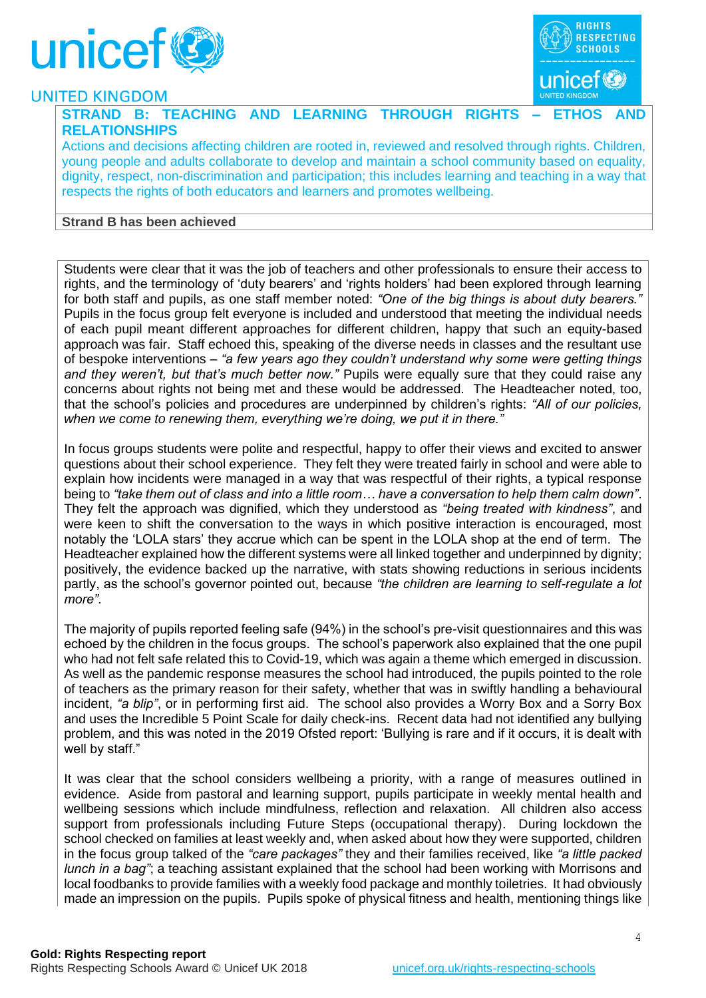



#### **STRAND B: TEACHING AND LEARNING THROUGH RIGHTS – ETHOS AND RELATIONSHIPS**

Actions and decisions affecting children are rooted in, reviewed and resolved through rights. Children, young people and adults collaborate to develop and maintain a school community based on equality, dignity, respect, non-discrimination and participation; this includes learning and teaching in a way that respects the rights of both educators and learners and promotes wellbeing.

#### **Strand B has been achieved**

Students were clear that it was the job of teachers and other professionals to ensure their access to rights, and the terminology of 'duty bearers' and 'rights holders' had been explored through learning for both staff and pupils, as one staff member noted: *"One of the big things is about duty bearers."* Pupils in the focus group felt everyone is included and understood that meeting the individual needs of each pupil meant different approaches for different children, happy that such an equity-based approach was fair. Staff echoed this, speaking of the diverse needs in classes and the resultant use of bespoke interventions – *"a few years ago they couldn't understand why some were getting things and they weren't, but that's much better now."* Pupils were equally sure that they could raise any concerns about rights not being met and these would be addressed. The Headteacher noted, too, that the school's policies and procedures are underpinned by children's rights: *"All of our policies, when we come to renewing them, everything we're doing, we put it in there."*

In focus groups students were polite and respectful, happy to offer their views and excited to answer questions about their school experience. They felt they were treated fairly in school and were able to explain how incidents were managed in a way that was respectful of their rights, a typical response being to *"take them out of class and into a little room… have a conversation to help them calm down"*. They felt the approach was dignified, which they understood as *"being treated with kindness"*, and were keen to shift the conversation to the ways in which positive interaction is encouraged, most notably the 'LOLA stars' they accrue which can be spent in the LOLA shop at the end of term. The Headteacher explained how the different systems were all linked together and underpinned by dignity; positively, the evidence backed up the narrative, with stats showing reductions in serious incidents partly, as the school's governor pointed out, because *"the children are learning to self-regulate a lot more".*

The majority of pupils reported feeling safe (94%) in the school's pre-visit questionnaires and this was echoed by the children in the focus groups. The school's paperwork also explained that the one pupil who had not felt safe related this to Covid-19, which was again a theme which emerged in discussion. As well as the pandemic response measures the school had introduced, the pupils pointed to the role of teachers as the primary reason for their safety, whether that was in swiftly handling a behavioural incident, *"a blip"*, or in performing first aid. The school also provides a Worry Box and a Sorry Box and uses the Incredible 5 Point Scale for daily check-ins. Recent data had not identified any bullying problem, and this was noted in the 2019 Ofsted report: 'Bullying is rare and if it occurs, it is dealt with well by staff."

It was clear that the school considers wellbeing a priority, with a range of measures outlined in evidence. Aside from pastoral and learning support, pupils participate in weekly mental health and wellbeing sessions which include mindfulness, reflection and relaxation. All children also access support from professionals including Future Steps (occupational therapy). During lockdown the school checked on families at least weekly and, when asked about how they were supported, children in the focus group talked of the *"care packages"* they and their families received, like *"a little packed lunch in a bag"*; a teaching assistant explained that the school had been working with Morrisons and local foodbanks to provide families with a weekly food package and monthly toiletries. It had obviously made an impression on the pupils. Pupils spoke of physical fitness and health, mentioning things like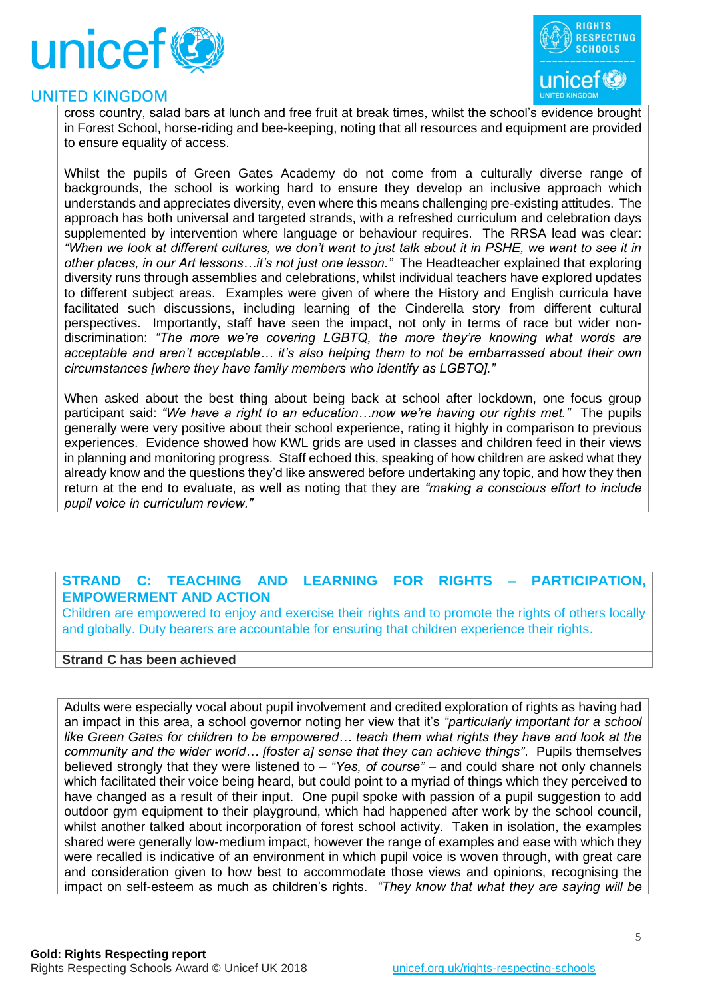



cross country, salad bars at lunch and free fruit at break times, whilst the school's evidence brought in Forest School, horse-riding and bee-keeping, noting that all resources and equipment are provided to ensure equality of access.

Whilst the pupils of Green Gates Academy do not come from a culturally diverse range of backgrounds, the school is working hard to ensure they develop an inclusive approach which understands and appreciates diversity, even where this means challenging pre-existing attitudes. The approach has both universal and targeted strands, with a refreshed curriculum and celebration days supplemented by intervention where language or behaviour requires. The RRSA lead was clear: *"When we look at different cultures, we don't want to just talk about it in PSHE, we want to see it in other places, in our Art lessons…it's not just one lesson."* The Headteacher explained that exploring diversity runs through assemblies and celebrations, whilst individual teachers have explored updates to different subject areas. Examples were given of where the History and English curricula have facilitated such discussions, including learning of the Cinderella story from different cultural perspectives. Importantly, staff have seen the impact, not only in terms of race but wider nondiscrimination: *"The more we're covering LGBTQ, the more they're knowing what words are acceptable and aren't acceptable… it's also helping them to not be embarrassed about their own circumstances [where they have family members who identify as LGBTQ]."*

When asked about the best thing about being back at school after lockdown, one focus group participant said: *"We have a right to an education…now we're having our rights met."* The pupils generally were very positive about their school experience, rating it highly in comparison to previous experiences. Evidence showed how KWL grids are used in classes and children feed in their views in planning and monitoring progress. Staff echoed this, speaking of how children are asked what they already know and the questions they'd like answered before undertaking any topic, and how they then return at the end to evaluate, as well as noting that they are *"making a conscious effort to include pupil voice in curriculum review."*

### **STRAND C: TEACHING AND LEARNING FOR RIGHTS – PARTICIPATION, EMPOWERMENT AND ACTION**

Children are empowered to enjoy and exercise their rights and to promote the rights of others locally and globally. Duty bearers are accountable for ensuring that children experience their rights.

#### **Strand C has been achieved**

Adults were especially vocal about pupil involvement and credited exploration of rights as having had an impact in this area, a school governor noting her view that it's *"particularly important for a school like Green Gates for children to be empowered… teach them what rights they have and look at the community and the wider world… [foster a] sense that they can achieve things"*. Pupils themselves believed strongly that they were listened to – *"Yes, of course"* – and could share not only channels which facilitated their voice being heard, but could point to a myriad of things which they perceived to have changed as a result of their input. One pupil spoke with passion of a pupil suggestion to add outdoor gym equipment to their playground, which had happened after work by the school council, whilst another talked about incorporation of forest school activity. Taken in isolation, the examples shared were generally low-medium impact, however the range of examples and ease with which they were recalled is indicative of an environment in which pupil voice is woven through, with great care and consideration given to how best to accommodate those views and opinions, recognising the impact on self-esteem as much as children's rights. *"They know that what they are saying will be*